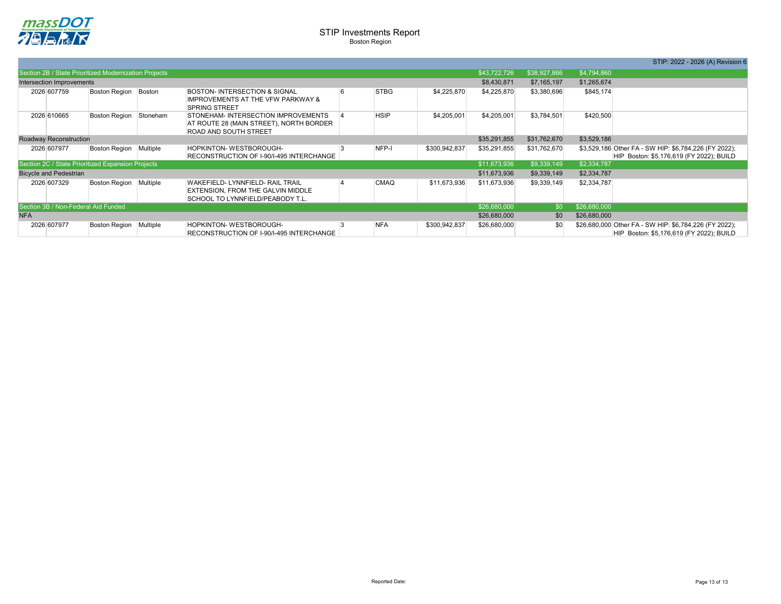

|              | STIP: 2022 - 2026 (A) Revision 6                                                                  |
|--------------|---------------------------------------------------------------------------------------------------|
| \$4,794,860  |                                                                                                   |
| \$1,265,674  |                                                                                                   |
| \$845,174    |                                                                                                   |
| \$420,500    |                                                                                                   |
| \$3,529,186  |                                                                                                   |
|              | \$3,529,186 Other FA - SW HIP: \$6,784,226 (FY 2022);<br>HIP Boston: \$5,176,619 (FY 2022); BUILD |
| \$2,334,787  |                                                                                                   |
| \$2,334,787  |                                                                                                   |
| \$2,334,787  |                                                                                                   |
| \$26,680,000 |                                                                                                   |
| \$26,680,000 |                                                                                                   |
|              | HIP Boston: \$5,176,619 (FY 2022); BUILD                                                          |

|                                                   |             |                                                       |          |                                                                                                                  |  |              |               |              |              |             | OTIP. ZUZZ - ZUZO (A) REVISIO                                                                      |
|---------------------------------------------------|-------------|-------------------------------------------------------|----------|------------------------------------------------------------------------------------------------------------------|--|--------------|---------------|--------------|--------------|-------------|----------------------------------------------------------------------------------------------------|
|                                                   |             | Section 2B / State Prioritized Modernization Projects |          |                                                                                                                  |  |              |               | \$43,722,726 | \$38,927,866 | \$4,794,860 |                                                                                                    |
| Intersection Improvements                         |             |                                                       |          |                                                                                                                  |  |              |               | \$8,430,871  | \$7,165,197  | \$1,265,674 |                                                                                                    |
|                                                   | 2026 607759 | Boston Region                                         | Boston   | <b>BOSTON- INTERSECTION &amp; SIGNAL</b><br><b>IMPROVEMENTS AT THE VFW PARKWAY &amp;</b><br><b>SPRING STREET</b> |  | <b>STBG</b>  | \$4,225,870   | \$4,225,870  | \$3,380,696  | \$845,174   |                                                                                                    |
|                                                   | 2026 610665 | Boston Region                                         | Stoneham | STONEHAM-INTERSECTION IMPROVEMENTS<br>AT ROUTE 28 (MAIN STREET), NORTH BORDER<br><b>ROAD AND SOUTH STREET</b>    |  | <b>HSIP</b>  | \$4,205,001   | \$4,205,001  | \$3,784,501  | \$420,500   |                                                                                                    |
| Roadway Reconstruction                            |             |                                                       |          |                                                                                                                  |  |              | \$35,291,855  | \$31,762,670 | \$3,529,186  |             |                                                                                                    |
|                                                   | 2026 607977 | Boston Region Multiple                                |          | <b>HOPKINTON-WESTBOROUGH-</b><br>RECONSTRUCTION OF I-90/I-495 INTERCHANGE                                        |  | NFP-I        | \$300,942,837 | \$35,291,855 | \$31,762,670 |             | \$3,529,186 Other FA - SW HIP: \$6,784,226 (FY 2022);<br>HIP Boston: \$5,176,619 (FY 2022); BUILD  |
| Section 2C / State Prioritized Expansion Projects |             |                                                       |          |                                                                                                                  |  |              |               | \$11,673,936 | \$9,339,149  | \$2,334,787 |                                                                                                    |
| <b>Bicycle and Pedestrian</b>                     |             |                                                       |          |                                                                                                                  |  |              | \$11,673,936  | \$9,339,149  | \$2,334,787  |             |                                                                                                    |
|                                                   | 2026 607329 | Boston Region Multiple                                |          | <b>WAKEFIELD-LYNNFIELD- RAIL TRAIL</b><br>EXTENSION, FROM THE GALVIN MIDDLE<br>SCHOOL TO LYNNFIELD/PEABODY T.L.  |  | <b>CMAQ</b>  | \$11,673,936  | \$11,673,936 | \$9,339,149  | \$2,334,787 |                                                                                                    |
| Section 3B / Non-Federal Aid Funded               |             |                                                       |          |                                                                                                                  |  |              | \$26,680,000  | \$0          | \$26,680,000 |             |                                                                                                    |
| <b>NFA</b>                                        |             |                                                       |          |                                                                                                                  |  | \$26,680,000 | \$0           | \$26,680,000 |              |             |                                                                                                    |
|                                                   | 2026 607977 | Boston Region Multiple                                |          | HOPKINTON-WESTBOROUGH-<br>RECONSTRUCTION OF I-90/I-495 INTERCHANGE                                               |  | <b>NFA</b>   | \$300,942,837 | \$26,680,000 | \$0          |             | \$26,680,000 Other FA - SW HIP: \$6,784,226 (FY 2022);<br>HIP Boston: \$5,176,619 (FY 2022); BUILD |